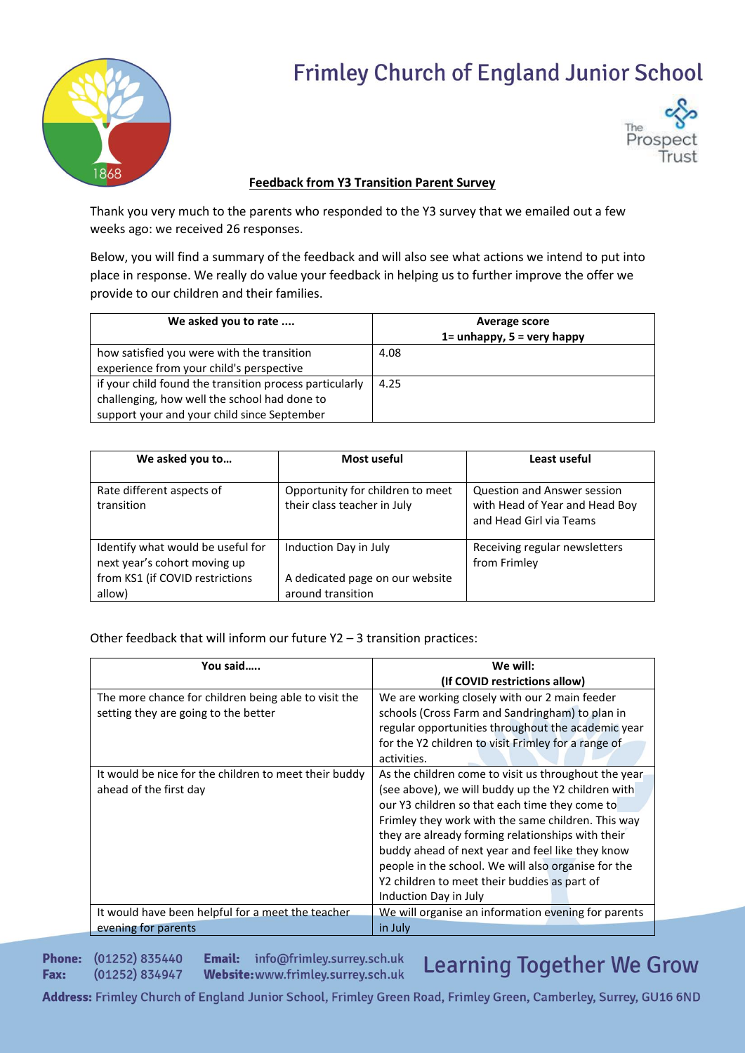

## **Frimley Church of England Junior School**



## **Feedback from Y3 Transition Parent Survey**

Thank you very much to the parents who responded to the Y3 survey that we emailed out a few weeks ago: we received 26 responses.

Below, you will find a summary of the feedback and will also see what actions we intend to put into place in response. We really do value your feedback in helping us to further improve the offer we provide to our children and their families.

| We asked you to rate                                    | Average score<br>$1 =$ unhappy, $5 =$ very happy |
|---------------------------------------------------------|--------------------------------------------------|
| how satisfied you were with the transition              | 4.08                                             |
| experience from your child's perspective                |                                                  |
| if your child found the transition process particularly | 4.25                                             |
| challenging, how well the school had done to            |                                                  |
| support your and your child since September             |                                                  |

| We asked you to                                                                                                | Most useful                                                                   | Least useful                                                                                    |
|----------------------------------------------------------------------------------------------------------------|-------------------------------------------------------------------------------|-------------------------------------------------------------------------------------------------|
| Rate different aspects of<br>transition                                                                        | Opportunity for children to meet<br>their class teacher in July               | <b>Question and Answer session</b><br>with Head of Year and Head Boy<br>and Head Girl via Teams |
| Identify what would be useful for<br>next year's cohort moving up<br>from KS1 (if COVID restrictions<br>allow) | Induction Day in July<br>A dedicated page on our website<br>around transition | Receiving regular newsletters<br>from Frimley                                                   |

Other feedback that will inform our future Y2 – 3 transition practices:

| You said                                              | We will:                                             |
|-------------------------------------------------------|------------------------------------------------------|
|                                                       | (If COVID restrictions allow)                        |
| The more chance for children being able to visit the  | We are working closely with our 2 main feeder        |
| setting they are going to the better                  | schools (Cross Farm and Sandringham) to plan in      |
|                                                       | regular opportunities throughout the academic year   |
|                                                       | for the Y2 children to visit Frimley for a range of  |
|                                                       | activities.                                          |
| It would be nice for the children to meet their buddy | As the children come to visit us throughout the year |
| ahead of the first day                                | (see above), we will buddy up the Y2 children with   |
|                                                       | our Y3 children so that each time they come to       |
|                                                       | Frimley they work with the same children. This way   |
|                                                       | they are already forming relationships with their    |
|                                                       | buddy ahead of next year and feel like they know     |
|                                                       | people in the school. We will also organise for the  |
|                                                       | Y2 children to meet their buddies as part of         |
|                                                       | Induction Day in July                                |
| It would have been helpful for a meet the teacher     | We will organise an information evening for parents  |
| evening for parents                                   | in July                                              |

Phone: (01252) 835440 Email: info@frimley.surrey.sch.uk  $(01252)$  834947 Website: www.frimley.surrey.sch.uk Fax:

**Learning Together We Grow** 

Address: Frimley Church of England Junior School, Frimley Green Road, Frimley Green, Camberley, Surrey, GU16 6ND